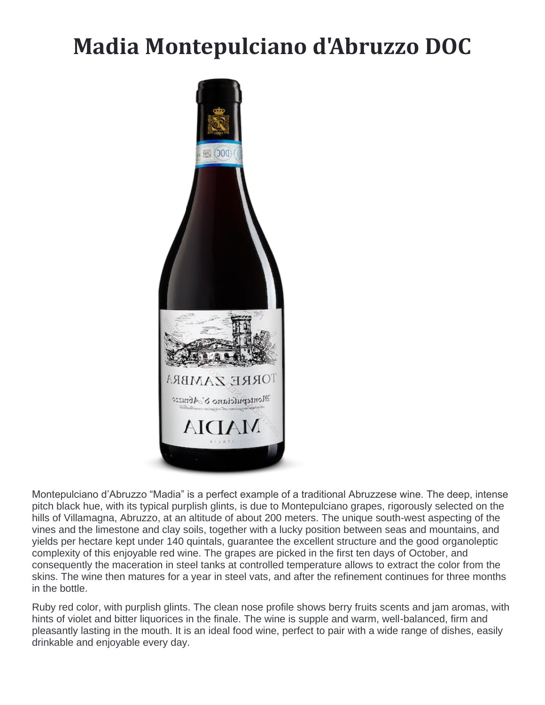## **Madia Montepulciano d'Abruzzo DOC**



Montepulciano d'Abruzzo "Madia" is a perfect example of a traditional Abruzzese wine. The deep, intense pitch black hue, with its typical purplish glints, is due to Montepulciano grapes, rigorously selected on the hills of Villamagna, Abruzzo, at an altitude of about 200 meters. The unique south-west aspecting of the vines and the limestone and clay soils, together with a lucky position between seas and mountains, and yields per hectare kept under 140 quintals, guarantee the excellent structure and the good organoleptic complexity of this enjoyable red wine. The grapes are picked in the first ten days of October, and consequently the maceration in steel tanks at controlled temperature allows to extract the color from the skins. The wine then matures for a year in steel vats, and after the refinement continues for three months in the bottle.

Ruby red color, with purplish glints. The clean nose profile shows berry fruits scents and jam aromas, with hints of violet and bitter liquorices in the finale. The wine is supple and warm, well-balanced, firm and pleasantly lasting in the mouth. It is an ideal food wine, perfect to pair with a wide range of dishes, easily drinkable and enjoyable every day.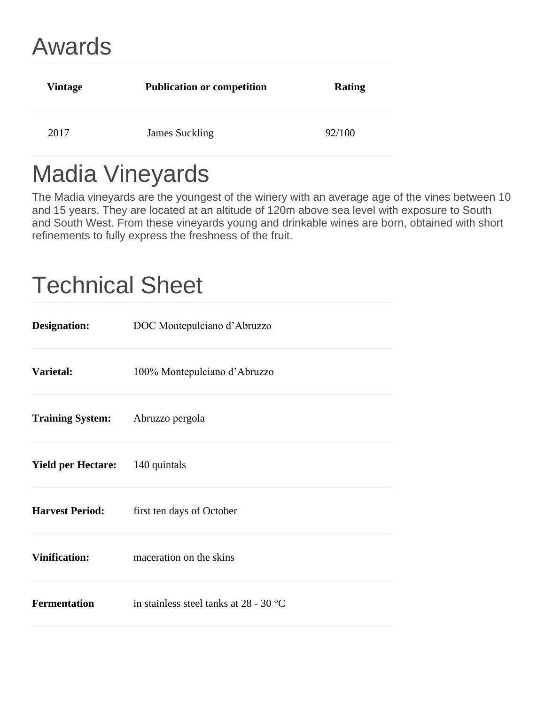## Awards

| Vintage | <b>Publication or competition</b> | <b>Rating</b> |
|---------|-----------------------------------|---------------|
| 2017    | James Suckling                    | 92/100        |

## Madia Vineyards

The Madia vineyards are the youngest of the winery with an average age of the vines between 10 and 15 years. They are located at an altitude of 120m above sea level with exposure to South and South West. From these vineyards young and drinkable wines are born, obtained with short refinements to fully express the freshness of the fruit.

## Technical Sheet

| <b>Designation:</b>       | DOC Montepulciano d'Abruzzo            |
|---------------------------|----------------------------------------|
| Varietal:                 | 100% Montepulciano d'Abruzzo           |
| <b>Training System:</b>   | Abruzzo pergola                        |
| <b>Yield per Hectare:</b> | 140 quintals                           |
| <b>Harvest Period:</b>    | first ten days of October              |
| <b>Vinification:</b>      | maceration on the skins                |
| <b>Fermentation</b>       | in stainless steel tanks at 28 - 30 °C |